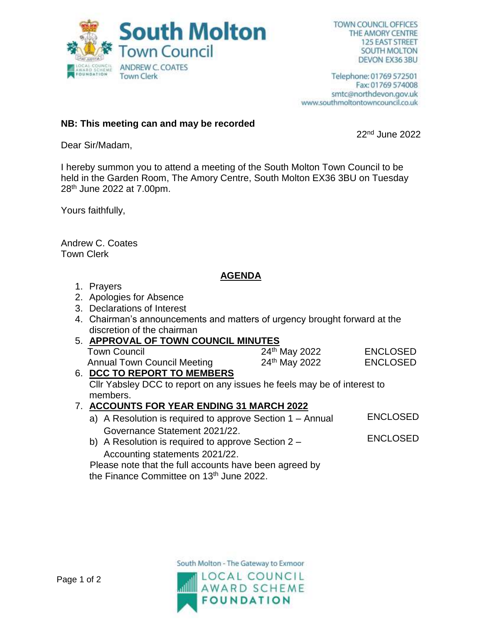

Telephone: 01769 572501 Fax: 01769 574008 smtc@northdevon.gov.uk www.southmoltontowncouncil.co.uk

### **NB: This meeting can and may be recorded**

22nd June 2022

Dear Sir/Madam,

I hereby summon you to attend a meeting of the South Molton Town Council to be held in the Garden Room, The Amory Centre, South Molton EX36 3BU on Tuesday 28th June 2022 at 7.00pm.

Yours faithfully,

Andrew C. Coates Town Clerk

## **AGENDA**

- 1. Prayers
- 2. Apologies for Absence
- 3. Declarations of Interest
- 4. Chairman's announcements and matters of urgency brought forward at the discretion of the chairman

#### 5. **APPROVAL OF TOWN COUNCIL MINUTES**  Town Council 24<sup>th</sup> May 2022 ENCLOSED Annual Town Council Meeting 24<sup>th</sup> May 2022 ENCLOSED

6. **DCC TO REPORT TO MEMBERS** Cllr Yabsley DCC to report on any issues he feels may be of interest to members.

## 7. **ACCOUNTS FOR YEAR ENDING 31 MARCH 2022**

- a) A Resolution is required to approve Section 1 Annual Governance Statement 2021/22. ENCLOSED
- b) A Resolution is required to approve Section 2 Accounting statements 2021/22. ENCLOSED

 Please note that the full accounts have been agreed by the Finance Committee on 13<sup>th</sup> June 2022.

South Molton - The Gateway to Exmoor